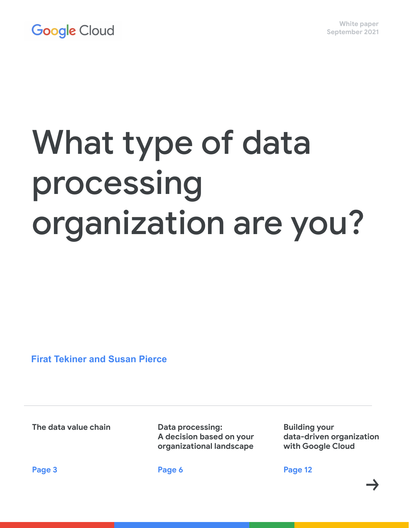# What type of data processing organization are you?

 **Firat Tekiner and Susan Pierce**

**The data value chain**

**Data processing: A decision based on your organizational landscape**

**Building your data-driven organization with Google Cloud**

**Page 3**

**Page 6**

**Page 12**

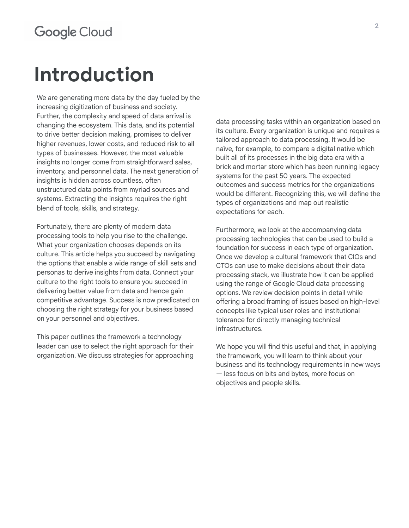### **Introduction**

We are generating more data by the day fueled by the increasing digitization of business and society. Further, the complexity and speed of data arrival is changing the ecosystem. This data, and its potential to drive better decision making, promises to deliver higher revenues, lower costs, and reduced risk to all types of businesses. However, the most valuable insights no longer come from straightforward sales, inventory, and personnel data. The next generation of insights is hidden across countless, often unstructured data points from myriad sources and systems. Extracting the insights requires the right blend of tools, skills, and strategy.

Fortunately, there are plenty of modern data processing tools to help you rise to the challenge. What your organization chooses depends on its culture. This article helps you succeed by navigating the options that enable a wide range of skill sets and personas to derive insights from data. Connect your culture to the right tools to ensure you succeed in delivering better value from data and hence gain competitive advantage. Success is now predicated on choosing the right strategy for your business based on your personnel and objectives.

This paper outlines the framework a technology leader can use to select the right approach for their organization. We discuss strategies for approaching

data processing tasks within an organization based on its culture. Every organization is unique and requires a tailored approach to data processing. It would be naïve, for example, to compare a digital native which built all of its processes in the big data era with a brick and mortar store which has been running legacy systems for the past 50 years. The expected outcomes and success metrics for the organizations would be different. Recognizing this, we will define the types of organizations and map out realistic expectations for each.

Furthermore, we look at the accompanying data processing technologies that can be used to build a foundation for success in each type of organization. Once we develop a cultural framework that CIOs and CTOs can use to make decisions about their data processing stack, we illustrate how it can be applied using the range of Google Cloud data processing options. We review decision points in detail while offering a broad framing of issues based on high-level concepts like typical user roles and institutional tolerance for directly managing technical infrastructures.

We hope you will find this useful and that, in applying the framework, you will learn to think about your business and its technology requirements in new ways — less focus on bits and bytes, more focus on objectives and people skills.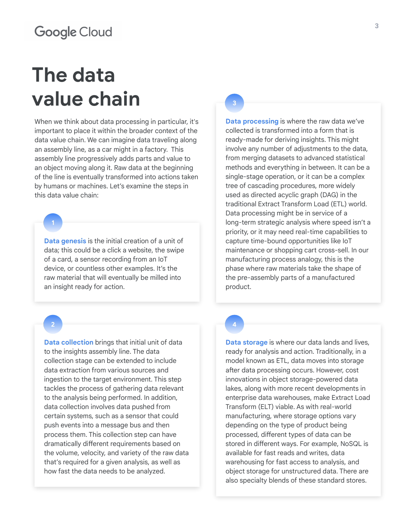# **The data value chain**

When we think about data processing in particular, it's important to place it within the broader context of the data value chain. We can imagine data traveling along an assembly line, as a car might in a factory. This assembly line progressively adds parts and value to an object moving along it. Raw data at the beginning of the line is eventually transformed into actions taken by humans or machines. Let's examine the steps in this data value chain:

**1**

**Data genesis** is the initial creation of a unit of data; this could be a click a website, the swipe of a card, a sensor recording from an IoT device, or countless other examples. It's the raw material that will eventually be milled into an insight ready for action.

#### **2**

**Data collection** brings that initial unit of data to the insights assembly line. The data collection stage can be extended to include data extraction from various sources and ingestion to the target environment. This step tackles the process of gathering data relevant to the analysis being performed. In addition, data collection involves data pushed from certain systems, such as a sensor that could push events into a message bus and then process them. This collection step can have dramatically different requirements based on the volume, velocity, and variety of the raw data that's required for a given analysis, as well as how fast the data needs to be analyzed.

**3**

**Data processing** is where the raw data we've collected is transformed into a form that is ready-made for deriving insights. This might involve any number of adjustments to the data, from merging datasets to advanced statistical methods and everything in between. It can be a single-stage operation, or it can be a complex tree of cascading procedures, more widely used as directed acyclic graph (DAG) in the traditional Extract Transform Load (ETL) world. Data processing might be in service of a long-term strategic analysis where speed isn't a priority, or it may need real-time capabilities to capture time-bound opportunities like IoT maintenance or shopping cart cross-sell. In our manufacturing process analogy, this is the phase where raw materials take the shape of the pre-assembly parts of a manufactured product.

#### **4**

**Data storage** is where our data lands and lives, ready for analysis and action. Traditionally, in a model known as ETL, data moves into storage after data processing occurs. However, cost innovations in object storage-powered data lakes, along with more recent developments in enterprise data warehouses, make Extract Load Transform (ELT) viable. As with real-world manufacturing, where storage options vary depending on the type of product being processed, different types of data can be stored in different ways. For example, NoSQL is available for fast reads and writes, data warehousing for fast access to analysis, and object storage for unstructured data. There are also specialty blends of these standard stores.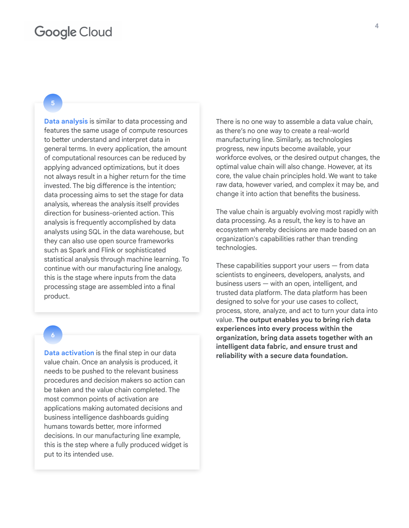#### **5**

**Data analysis** is similar to data processing and features the same usage of compute resources to better understand and interpret data in general terms. In every application, the amount of computational resources can be reduced by applying advanced optimizations, but it does not always result in a higher return for the time invested. The big difference is the intention; data processing aims to set the stage for data analysis, whereas the analysis itself provides direction for business-oriented action. This analysis is frequently accomplished by data analysts using SQL in the data warehouse, but they can also use open source frameworks such as Spark and Flink or sophisticated statistical analysis through machine learning. To continue with our manufacturing line analogy, this is the stage where inputs from the data processing stage are assembled into a final product.

#### **6**

**Data activation** is the final step in our data value chain. Once an analysis is produced, it needs to be pushed to the relevant business procedures and decision makers so action can be taken and the value chain completed. The most common points of activation are applications making automated decisions and business intelligence dashboards guiding humans towards better, more informed decisions. In our manufacturing line example, this is the step where a fully produced widget is put to its intended use.

There is no one way to assemble a data value chain, as there's no one way to create a real-world manufacturing line. Similarly, as technologies progress, new inputs become available, your workforce evolves, or the desired output changes, the optimal value chain will also change. However, at its core, the value chain principles hold. We want to take raw data, however varied, and complex it may be, and change it into action that benefits the business.

The value chain is arguably evolving most rapidly with data processing. As a result, the key is to have an ecosystem whereby decisions are made based on an organization's capabilities rather than trending technologies.

These capabilities support your users  $-$  from data scientists to engineers, developers, analysts, and business users — with an open, intelligent, and trusted data platform. The data platform has been designed to solve for your use cases to collect, process, store, analyze, and act to turn your data into value. **The output enables you to bring rich data experiences into every process within the organization, bring data assets together with an intelligent data fabric, and ensure trust and reliability with a secure data foundation.**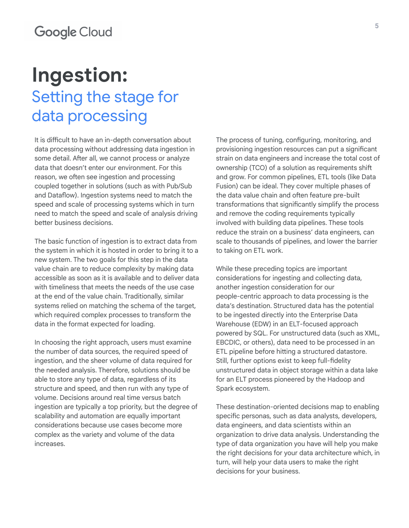### **Ingestion:**  Setting the stage for data processing

It is difficult to have an in-depth conversation about data processing without addressing data ingestion in some detail. After all, we cannot process or analyze data that doesn't enter our environment. For this reason, we often see ingestion and processing coupled together in solutions (such as with Pub/Sub and Dataflow). Ingestion systems need to match the speed and scale of processing systems which in turn need to match the speed and scale of analysis driving better business decisions.

The basic function of ingestion is to extract data from the system in which it is hosted in order to bring it to a new system. The two goals for this step in the data value chain are to reduce complexity by making data accessible as soon as it is available and to deliver data with timeliness that meets the needs of the use case at the end of the value chain. Traditionally, similar systems relied on matching the schema of the target, which required complex processes to transform the data in the format expected for loading.

In choosing the right approach, users must examine the number of data sources, the required speed of ingestion, and the sheer volume of data required for the needed analysis. Therefore, solutions should be able to store any type of data, regardless of its structure and speed, and then run with any type of volume. Decisions around real time versus batch ingestion are typically a top priority, but the degree of scalability and automation are equally important considerations because use cases become more complex as the variety and volume of the data increases.

The process of tuning, configuring, monitoring, and provisioning ingestion resources can put a significant strain on data engineers and increase the total cost of ownership (TCO) of a solution as requirements shift and grow. For common pipelines, ETL tools (like Data Fusion) can be ideal. They cover multiple phases of the data value chain and often feature pre-built transformations that significantly simplify the process and remove the coding requirements typically involved with building data pipelines. These tools reduce the strain on a business' data engineers, can scale to thousands of pipelines, and lower the barrier to taking on ETL work.

While these preceding topics are important considerations for ingesting and collecting data, another ingestion consideration for our people-centric approach to data processing is the data's destination. Structured data has the potential to be ingested directly into the Enterprise Data Warehouse (EDW) in an ELT-focused approach powered by SQL. For unstructured data (such as XML, EBCDIC, or others), data need to be processed in an ETL pipeline before hitting a structured datastore. Still, further options exist to keep full-fidelity unstructured data in object storage within a data lake for an ELT process pioneered by the Hadoop and Spark ecosystem.

These destination-oriented decisions map to enabling specific personas, such as data analysts, developers, data engineers, and data scientists within an organization to drive data analysis. Understanding the type of data organization you have will help you make the right decisions for your data architecture which, in turn, will help your data users to make the right decisions for your business.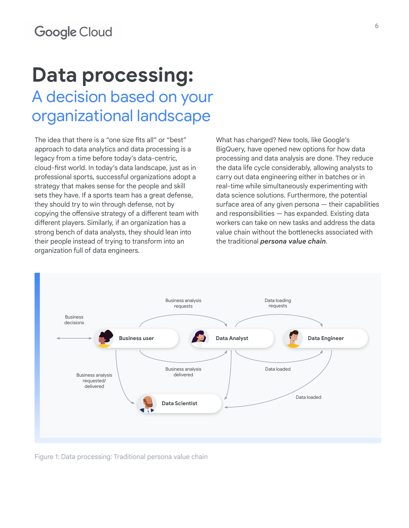### **Data processing:**  A decision based on your organizational landscape

The idea that there is a "one size fits all" or "best" approach to data analytics and data processing is a legacy from a time before today's data-centric, cloud-first world. In today's data landscape, just as in professional sports, successful organizations adopt a strategy that makes sense for the people and skill sets they have. If a sports team has a great defense, they should try to win through defense, not by copying the offensive strategy of a different team with different players. Similarly, if an organization has a strong bench of data analysts, they should lean into their people instead of trying to transform into an organization full of data engineers.

What has changed? New tools, like Google's BigQuery, have opened new options for how data processing and data analysis are done. They reduce the data life cycle considerably, allowing analysts to carry out data engineering either in batches or in real-time while simultaneously experimenting with data science solutions. Furthermore, the potential surface area of any given persona — their capabilities and responsibilities — has expanded. Existing data workers can take on new tasks and address the data value chain without the bottlenecks associated with the traditional *persona value chain*.



Figure 1: Data processing: Traditional persona value chain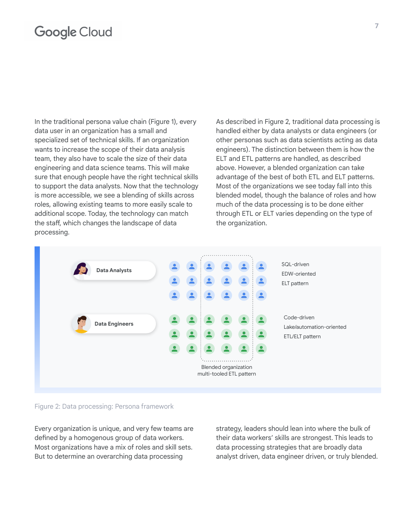In the traditional persona value chain (Figure 1), every data user in an organization has a small and specialized set of technical skills. If an organization wants to increase the scope of their data analysis team, they also have to scale the size of their data engineering and data science teams. This will make sure that enough people have the right technical skills to support the data analysts. Now that the technology is more accessible, we see a blending of skills across roles, allowing existing teams to more easily scale to additional scope. Today, the technology can match the staff, which changes the landscape of data processing.

As described in Figure 2, traditional data processing is handled either by data analysts or data engineers (or other personas such as data scientists acting as data engineers). The distinction between them is how the ELT and ETL patterns are handled, as described above. However, a blended organization can take advantage of the best of both ETL and ELT patterns. Most of the organizations we see today fall into this blended model, though the balance of roles and how much of the data processing is to be done either through ETL or ELT varies depending on the type of the organization.



#### Figure 2: Data processing: Persona framework

Every organization is unique, and very few teams are defined by a homogenous group of data workers. Most organizations have a mix of roles and skill sets. But to determine an overarching data processing

strategy, leaders should lean into where the bulk of their data workers' skills are strongest. This leads to data processing strategies that are broadly data analyst driven, data engineer driven, or truly blended.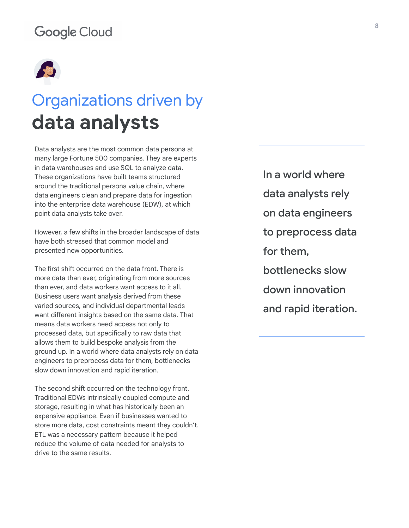

### Organizations driven by **data analysts**

Data analysts are the most common data persona at many large Fortune 500 companies. They are experts in data warehouses and use SQL to analyze data. These organizations have built teams structured around the traditional persona value chain, where data engineers clean and prepare data for ingestion into the enterprise data warehouse (EDW), at which point data analysts take over.

However, a few shifts in the broader landscape of data have both stressed that common model and presented new opportunities.

The first shift occurred on the data front. There is more data than ever, originating from more sources than ever, and data workers want access to it all. Business users want analysis derived from these varied sources, and individual departmental leads want different insights based on the same data. That means data workers need access not only to processed data, but specifically to raw data that allows them to build bespoke analysis from the ground up. In a world where data analysts rely on data engineers to preprocess data for them, bottlenecks slow down innovation and rapid iteration.

The second shift occurred on the technology front. Traditional EDWs intrinsically coupled compute and storage, resulting in what has historically been an expensive appliance. Even if businesses wanted to store more data, cost constraints meant they couldn't. ETL was a necessary pattern because it helped reduce the volume of data needed for analysts to drive to the same results.

In a world where data analysts rely on data engineers to preprocess data for them, bottlenecks slow down innovation and rapid iteration.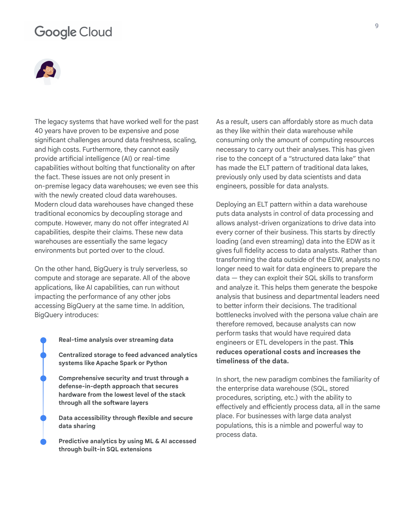

The legacy systems that have worked well for the past 40 years have proven to be expensive and pose significant challenges around data freshness, scaling, and high costs. Furthermore, they cannot easily provide artificial intelligence (AI) or real-time capabilities without bolting that functionality on after the fact. These issues are not only present in on-premise legacy data warehouses; we even see this with the newly created cloud data warehouses. Modern cloud data warehouses have changed these traditional economics by decoupling storage and compute. However, many do not offer integrated AI capabilities, despite their claims. These new data warehouses are essentially the same legacy environments but ported over to the cloud.

On the other hand, BigQuery is truly serverless, so compute and storage are separate. All of the above applications, like AI capabilities, can run without impacting the performance of any other jobs accessing BigQuery at the same time. In addition, BigQuery introduces:

- **● Real-time analysis over streaming data ● Centralized storage to feed advanced analytics systems like Apache Spark or Python ● Comprehensive security and trust through a** 
	- **defense-in-depth approach that secures hardware from the lowest level of the stack through all the software layers**
	- **● Data accessibility through flexible and secure data sharing**
	- **● Predictive analytics by using ML & AI accessed through built-in SQL extensions**

As a result, users can affordably store as much data as they like within their data warehouse while consuming only the amount of computing resources necessary to carry out their analyses. This has given rise to the concept of a "structured data lake" that has made the ELT pattern of traditional data lakes, previously only used by data scientists and data engineers, possible for data analysts.

Deploying an ELT pattern within a data warehouse puts data analysts in control of data processing and allows analyst-driven organizations to drive data into every corner of their business. This starts by directly loading (and even streaming) data into the EDW as it gives full fidelity access to data analysts. Rather than transforming the data outside of the EDW, analysts no longer need to wait for data engineers to prepare the data — they can exploit their SQL skills to transform and analyze it. This helps them generate the bespoke analysis that business and departmental leaders need to better inform their decisions. The traditional bottlenecks involved with the persona value chain are therefore removed, because analysts can now perform tasks that would have required data engineers or ETL developers in the past. **This reduces operational costs and increases the timeliness of the data.**

In short, the new paradigm combines the familiarity of the enterprise data warehouse (SQL, stored procedures, scripting, etc.) with the ability to effectively and efficiently process data, all in the same place. For businesses with large data analyst populations, this is a nimble and powerful way to process data.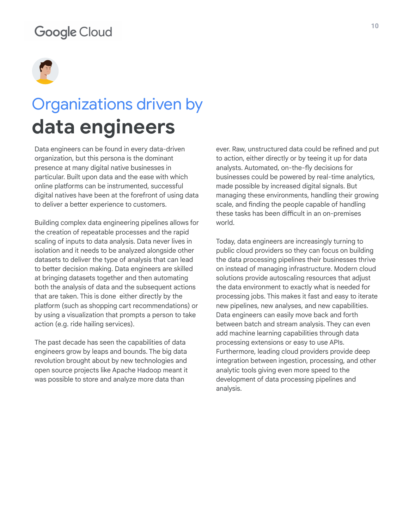

### Organizations driven by **data engineers**

Data engineers can be found in every data-driven organization, but this persona is the dominant presence at many digital native businesses in particular. Built upon data and the ease with which online platforms can be instrumented, successful digital natives have been at the forefront of using data to deliver a better experience to customers.

Building complex data engineering pipelines allows for the creation of repeatable processes and the rapid scaling of inputs to data analysis. Data never lives in isolation and it needs to be analyzed alongside other datasets to deliver the type of analysis that can lead to better decision making. Data engineers are skilled at bringing datasets together and then automating both the analysis of data and the subsequent actions that are taken. This is done either directly by the platform (such as shopping cart recommendations) or by using a visualization that prompts a person to take action (e.g. ride hailing services).

The past decade has seen the capabilities of data engineers grow by leaps and bounds. The big data revolution brought about by new technologies and open source projects like Apache Hadoop meant it was possible to store and analyze more data than

ever. Raw, unstructured data could be refined and put to action, either directly or by teeing it up for data analysts. Automated, on-the-fly decisions for businesses could be powered by real-time analytics, made possible by increased digital signals. But managing these environments, handling their growing scale, and finding the people capable of handling these tasks has been difficult in an on-premises world.

Today, data engineers are increasingly turning to public cloud providers so they can focus on building the data processing pipelines their businesses thrive on instead of managing infrastructure. Modern cloud solutions provide autoscaling resources that adjust the data environment to exactly what is needed for processing jobs. This makes it fast and easy to iterate new pipelines, new analyses, and new capabilities. Data engineers can easily move back and forth between batch and stream analysis. They can even add machine learning capabilities through data processing extensions or easy to use APIs. Furthermore, leading cloud providers provide deep integration between ingestion, processing, and other analytic tools giving even more speed to the development of data processing pipelines and analysis.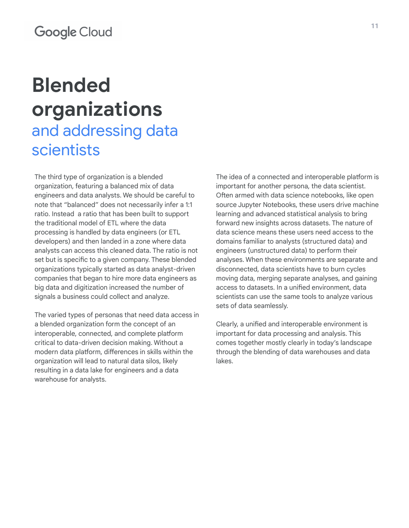# **Blended organizations**

### and addressing data scientists

The third type of organization is a blended organization, featuring a balanced mix of data engineers and data analysts. We should be careful to note that "balanced" does not necessarily infer a 1:1 ratio. Instead a ratio that has been built to support the traditional model of ETL where the data processing is handled by data engineers (or ETL developers) and then landed in a zone where data analysts can access this cleaned data. The ratio is not set but is specific to a given company. These blended organizations typically started as data analyst-driven companies that began to hire more data engineers as big data and digitization increased the number of signals a business could collect and analyze.

The varied types of personas that need data access in a blended organization form the concept of an interoperable, connected, and complete platform critical to data-driven decision making. Without a modern data platform, differences in skills within the organization will lead to natural data silos, likely resulting in a data lake for engineers and a data warehouse for analysts.

The idea of a connected and interoperable platform is important for another persona, the data scientist. Often armed with data science notebooks, like open source Jupyter Notebooks, these users drive machine learning and advanced statistical analysis to bring forward new insights across datasets. The nature of data science means these users need access to the domains familiar to analysts (structured data) and engineers (unstructured data) to perform their analyses. When these environments are separate and disconnected, data scientists have to burn cycles moving data, merging separate analyses, and gaining access to datasets. In a unified environment, data scientists can use the same tools to analyze various sets of data seamlessly.

Clearly, a unified and interoperable environment is important for data processing and analysis. This comes together mostly clearly in today's landscape through the blending of data warehouses and data lakes.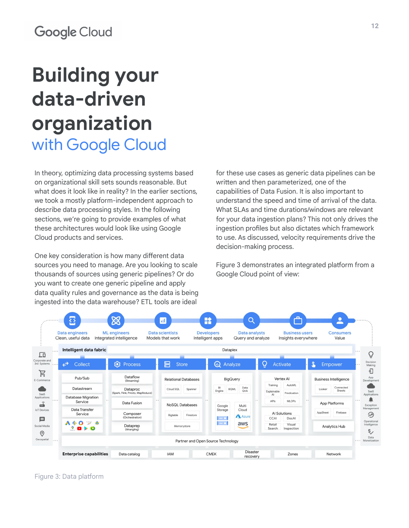# **Building your data-driven organization** with Google Cloud

In theory, optimizing data processing systems based on organizational skill sets sounds reasonable. But what does it look like in reality? In the earlier sections, we took a mostly platform-independent approach to describe data processing styles. In the following sections, we're going to provide examples of what these architectures would look like using Google Cloud products and services.

One key consideration is how many different data sources you need to manage. Are you looking to scale thousands of sources using generic pipelines? Or do you want to create one generic pipeline and apply data quality rules and governance as the data is being ingested into the data warehouse? ETL tools are ideal

for these use cases as generic data pipelines can be written and then parameterized, one of the capabilities of Data Fusion. It is also important to understand the speed and time of arrival of the data. What SLAs and time durations/windows are relevant for your data ingestion plans? This not only drives the ingestion profiles but also dictates which framework to use. As discussed, velocity requirements drive the decision-making process.

Figure 3 demonstrates an integrated platform from a Google Cloud point of view:



Figure 3: Data platform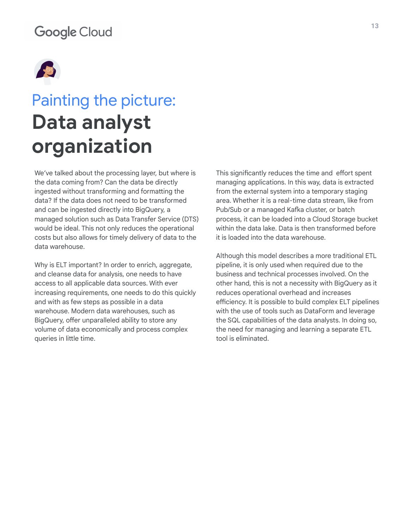

## Painting the picture: **Data analyst organization**

We've talked about the processing layer, but where is the data coming from? Can the data be directly ingested without transforming and formatting the data? If the data does not need to be transformed and can be ingested directly into BigQuery, a managed solution such as Data Transfer Service (DTS) would be ideal. This not only reduces the operational costs but also allows for timely delivery of data to the data warehouse.

Why is ELT important? In order to enrich, aggregate, and cleanse data for analysis, one needs to have access to all applicable data sources. With ever increasing requirements, one needs to do this quickly and with as few steps as possible in a data warehouse. Modern data warehouses, such as BigQuery, offer unparalleled ability to store any volume of data economically and process complex queries in little time.

This significantly reduces the time and effort spent managing applications. In this way, data is extracted from the external system into a temporary staging area. Whether it is a real-time data stream, like from Pub/Sub or a managed Kafka cluster, or batch process, it can be loaded into a Cloud Storage bucket within the data lake. Data is then transformed before it is loaded into the data warehouse.

Although this model describes a more traditional ETL pipeline, it is only used when required due to the business and technical processes involved. On the other hand, this is not a necessity with BigQuery as it reduces operational overhead and increases efficiency. It is possible to build complex ELT pipelines with the use of tools such as DataForm and leverage the SQL capabilities of the data analysts. In doing so, the need for managing and learning a separate ETL tool is eliminated.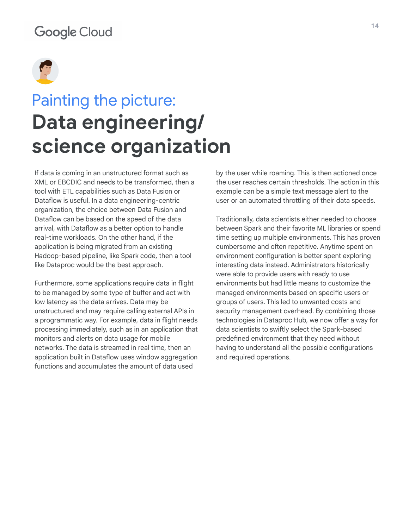

### Painting the picture: **Data engineering/ science organization**

If data is coming in an unstructured format such as XML or EBCDIC and needs to be transformed, then a tool with ETL capabilities such as Data Fusion or Dataflow is useful. In a data engineering-centric organization, the choice between Data Fusion and Dataflow can be based on the speed of the data arrival, with Dataflow as a better option to handle real-time workloads. On the other hand, if the application is being migrated from an existing Hadoop-based pipeline, like Spark code, then a tool like Dataproc would be the best approach.

Furthermore, some applications require data in flight to be managed by some type of buffer and act with low latency as the data arrives. Data may be unstructured and may require calling external APIs in a programmatic way. For example, data in flight needs processing immediately, such as in an application that monitors and alerts on data usage for mobile networks. The data is streamed in real time, then an application built in Dataflow uses window aggregation functions and accumulates the amount of data used

by the user while roaming. This is then actioned once the user reaches certain thresholds. The action in this example can be a simple text message alert to the user or an automated throttling of their data speeds.

Traditionally, data scientists either needed to choose between Spark and their favorite ML libraries or spend time setting up multiple environments. This has proven cumbersome and often repetitive. Anytime spent on environment configuration is better spent exploring interesting data instead. Administrators historically were able to provide users with ready to use environments but had little means to customize the managed environments based on specific users or groups of users. This led to unwanted costs and security management overhead. By combining those technologies in Dataproc Hub, we now offer a way for data scientists to swiftly select the Spark-based predefined environment that they need without having to understand all the possible configurations and required operations.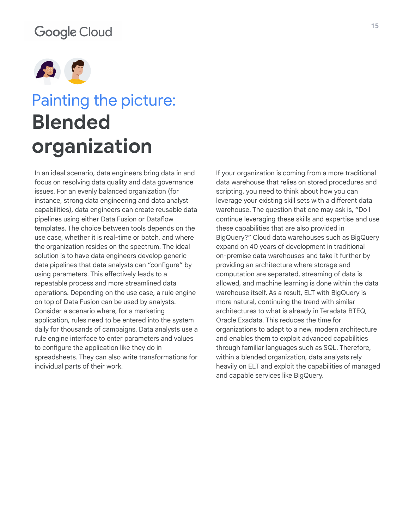

## Painting the picture: **Blended organization**

In an ideal scenario, data engineers bring data in and focus on resolving data quality and data governance issues. For an evenly balanced organization (for instance, strong data engineering and data analyst capabilities), data engineers can create reusable data pipelines using either Data Fusion or Dataflow templates. The choice between tools depends on the use case, whether it is real-time or batch, and where the organization resides on the spectrum. The ideal solution is to have data engineers develop generic data pipelines that data analysts can "configure" by using parameters. This effectively leads to a repeatable process and more streamlined data operations. Depending on the use case, a rule engine on top of Data Fusion can be used by analysts. Consider a scenario where, for a marketing application, rules need to be entered into the system daily for thousands of campaigns. Data analysts use a rule engine interface to enter parameters and values to configure the application like they do in spreadsheets. They can also write transformations for individual parts of their work.

If your organization is coming from a more traditional data warehouse that relies on stored procedures and scripting, you need to think about how you can leverage your existing skill sets with a different data warehouse. The question that one may ask is, "Do I continue leveraging these skills and expertise and use these capabilities that are also provided in BigQuery?" Cloud data warehouses such as BigQuery expand on 40 years of development in traditional on-premise data warehouses and take it further by providing an architecture where storage and computation are separated, streaming of data is allowed, and machine learning is done within the data warehouse itself. As a result, ELT with BigQuery is more natural, continuing the trend with similar architectures to what is already in Teradata BTEQ, Oracle Exadata. This reduces the time for organizations to adapt to a new, modern architecture and enables them to exploit advanced capabilities through familiar languages such as SQL. Therefore, within a blended organization, data analysts rely heavily on ELT and exploit the capabilities of managed and capable services like BigQuery.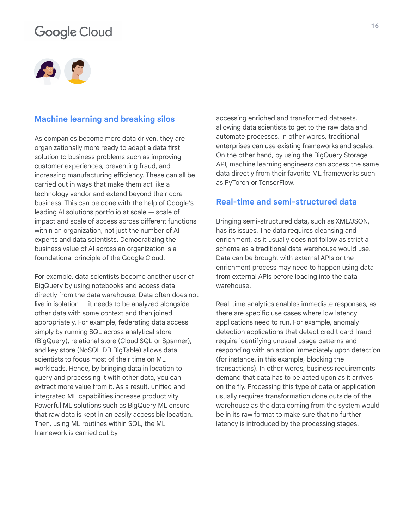

#### **Machine learning and breaking silos**

As companies become more data driven, they are organizationally more ready to adapt a data first solution to business problems such as improving customer experiences, preventing fraud, and increasing manufacturing efficiency. These can all be carried out in ways that make them act like a technology vendor and extend beyond their core business. This can be done with the help of Google's leading AI solutions portfolio at scale — scale of impact and scale of access across different functions within an organization, not just the number of AI experts and data scientists. Democratizing the business value of AI across an organization is a foundational principle of the Google Cloud.

For example, data scientists become another user of BigQuery by using notebooks and access data directly from the data warehouse. Data often does not live in isolation — it needs to be analyzed alongside other data with some context and then joined appropriately. For example, federating data access simply by running SQL across analytical store (BigQuery), relational store (Cloud SQL or Spanner), and key store (NoSQL DB BigTable) allows data scientists to focus most of their time on ML workloads. Hence, by bringing data in location to query and processing it with other data, you can extract more value from it. As a result, unified and integrated ML capabilities increase productivity. Powerful ML solutions such as BigQuery ML ensure that raw data is kept in an easily accessible location. Then, using ML routines within SQL, the ML framework is carried out by

accessing enriched and transformed datasets, allowing data scientists to get to the raw data and automate processes. In other words, traditional enterprises can use existing frameworks and scales. On the other hand, by using the BigQuery Storage API, machine learning engineers can access the same data directly from their favorite ML frameworks such as PyTorch or TensorFlow.

#### **Real-time and semi-structured data**

Bringing semi-structured data, such as XML/JSON, has its issues. The data requires cleansing and enrichment, as it usually does not follow as strict a schema as a traditional data warehouse would use. Data can be brought with external APIs or the enrichment process may need to happen using data from external APIs before loading into the data warehouse.

Real-time analytics enables immediate responses, as there are specific use cases where low latency applications need to run. For example, anomaly detection applications that detect credit card fraud require identifying unusual usage patterns and responding with an action immediately upon detection (for instance, in this example, blocking the transactions). In other words, business requirements demand that data has to be acted upon as it arrives on the fly. Processing this type of data or application usually requires transformation done outside of the warehouse as the data coming from the system would be in its raw format to make sure that no further latency is introduced by the processing stages.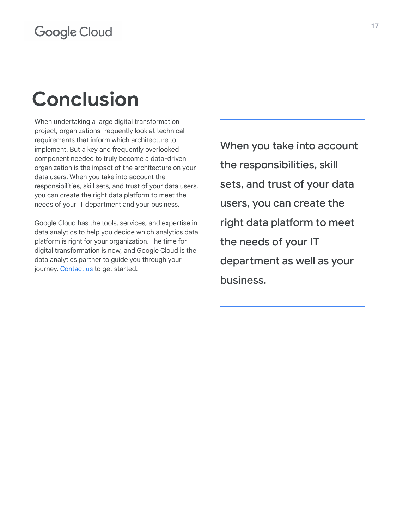# **Conclusion**

When undertaking a large digital transformation project, organizations frequently look at technical requirements that inform which architecture to implement. But a key and frequently overlooked component needed to truly become a data-driven organization is the impact of the architecture on your data users. When you take into account the responsibilities, skill sets, and trust of your data users, you can create the right data platform to meet the needs of your IT department and your business.

Google Cloud has the tools, services, and expertise in data analytics to help you decide which analytics data platform is right for your organization. The time for digital transformation is now, and Google Cloud is the data analytics partner to guide you through your journey. [Contact us](https://cloud.google.com/solutions/smart-analytics) to get started.

When you take into account the responsibilities, skill sets, and trust of your data users, you can create the right data platform to meet the needs of your IT department as well as your business.